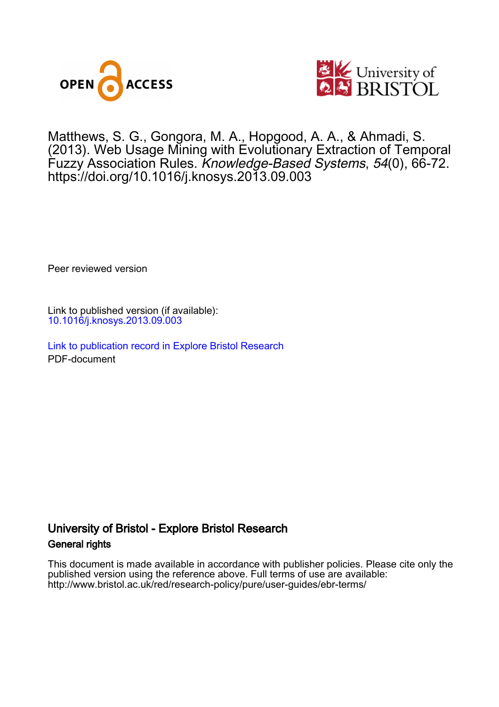



Matthews, S. G., Gongora, M. A., Hopgood, A. A., & Ahmadi, S. (2013). Web Usage Mining with Evolutionary Extraction of Temporal Fuzzy Association Rules. Knowledge-Based Systems, 54(0), 66-72. <https://doi.org/10.1016/j.knosys.2013.09.003>

Peer reviewed version

Link to published version (if available): [10.1016/j.knosys.2013.09.003](https://doi.org/10.1016/j.knosys.2013.09.003)

[Link to publication record in Explore Bristol Research](https://research-information.bris.ac.uk/en/publications/5d0d7677-9ce7-4d7a-885f-657446120b5a) PDF-document

# University of Bristol - Explore Bristol Research General rights

This document is made available in accordance with publisher policies. Please cite only the published version using the reference above. Full terms of use are available: http://www.bristol.ac.uk/red/research-policy/pure/user-guides/ebr-terms/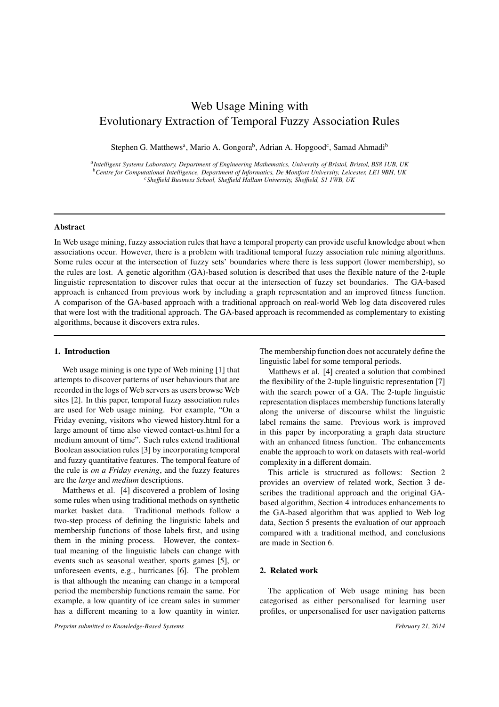# Web Usage Mining with Evolutionary Extraction of Temporal Fuzzy Association Rules

Stephen G. Matthews<sup>a</sup>, Mario A. Gongora<sup>b</sup>, Adrian A. Hopgood<sup>c</sup>, Samad Ahmadi<sup>b</sup>

*a Intelligent Systems Laboratory, Department of Engineering Mathematics, University of Bristol, Bristol, BS8 1UB, UK <sup>b</sup>Centre for Computational Intelligence, Department of Informatics, De Montfort University, Leicester, LE1 9BH, UK <sup>c</sup>She*ffi*eld Business School, She*ffi*eld Hallam University, She*ffi*eld, S1 1WB, UK*

# Abstract

In Web usage mining, fuzzy association rules that have a temporal property can provide useful knowledge about when associations occur. However, there is a problem with traditional temporal fuzzy association rule mining algorithms. Some rules occur at the intersection of fuzzy sets' boundaries where there is less support (lower membership), so the rules are lost. A genetic algorithm (GA)-based solution is described that uses the flexible nature of the 2-tuple linguistic representation to discover rules that occur at the intersection of fuzzy set boundaries. The GA-based approach is enhanced from previous work by including a graph representation and an improved fitness function. A comparison of the GA-based approach with a traditional approach on real-world Web log data discovered rules that were lost with the traditional approach. The GA-based approach is recommended as complementary to existing algorithms, because it discovers extra rules.

#### 1. Introduction

Web usage mining is one type of Web mining [1] that attempts to discover patterns of user behaviours that are recorded in the logs of Web servers as users browse Web sites [2]. In this paper, temporal fuzzy association rules are used for Web usage mining. For example, "On a Friday evening, visitors who viewed history.html for a large amount of time also viewed contact-us.html for a medium amount of time". Such rules extend traditional Boolean association rules [3] by incorporating temporal and fuzzy quantitative features. The temporal feature of the rule is *on a Friday evening*, and the fuzzy features are the *large* and *medium* descriptions.

Matthews et al. [4] discovered a problem of losing some rules when using traditional methods on synthetic market basket data. Traditional methods follow a two-step process of defining the linguistic labels and membership functions of those labels first, and using them in the mining process. However, the contextual meaning of the linguistic labels can change with events such as seasonal weather, sports games [5], or unforeseen events, e.g., hurricanes [6]. The problem is that although the meaning can change in a temporal period the membership functions remain the same. For example, a low quantity of ice cream sales in summer has a different meaning to a low quantity in winter.

*Preprint submitted to Knowledge-Based Systems February 21, 2014*

The membership function does not accurately define the linguistic label for some temporal periods.

Matthews et al. [4] created a solution that combined the flexibility of the 2-tuple linguistic representation [7] with the search power of a GA. The 2-tuple linguistic representation displaces membership functions laterally along the universe of discourse whilst the linguistic label remains the same. Previous work is improved in this paper by incorporating a graph data structure with an enhanced fitness function. The enhancements enable the approach to work on datasets with real-world complexity in a different domain.

This article is structured as follows: Section 2 provides an overview of related work, Section 3 describes the traditional approach and the original GAbased algorithm, Section 4 introduces enhancements to the GA-based algorithm that was applied to Web log data, Section 5 presents the evaluation of our approach compared with a traditional method, and conclusions are made in Section 6.

#### 2. Related work

The application of Web usage mining has been categorised as either personalised for learning user profiles, or unpersonalised for user navigation patterns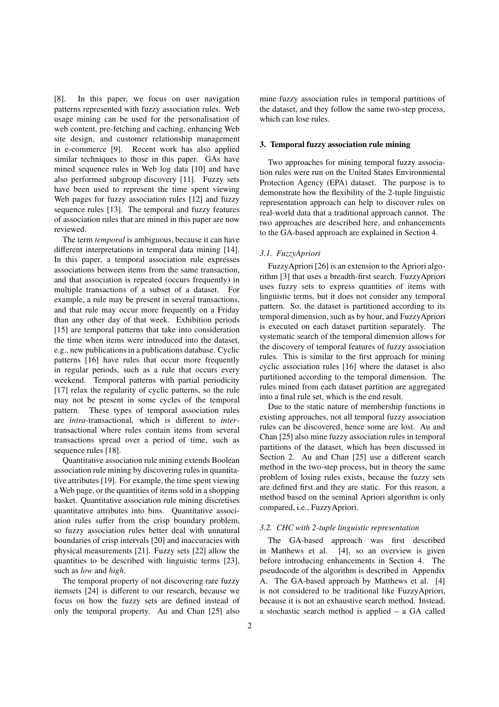[8]. In this paper, we focus on user navigation patterns represented with fuzzy association rules. Web usage mining can be used for the personalisation of web content, pre-fetching and caching, enhancing Web site design, and customer relationship management in e-commerce [9]. Recent work has also applied similar techniques to those in this paper. GAs have mined sequence rules in Web log data [10] and have also performed subgroup discovery [11]. Fuzzy sets have been used to represent the time spent viewing Web pages for fuzzy association rules [12] and fuzzy sequence rules [13]. The temporal and fuzzy features of association rules that are mined in this paper are now reviewed.

The term *temporal* is ambiguous, because it can have different interpretations in temporal data mining [14]. In this paper, a temporal association rule expresses associations between items from the same transaction, and that association is repeated (occurs frequently) in multiple transactions of a subset of a dataset. For example, a rule may be present in several transactions, and that rule may occur more frequently on a Friday than any other day of that week. Exhibition periods [15] are temporal patterns that take into consideration the time when items were introduced into the dataset, e.g., new publications in a publications database. Cyclic patterns [16] have rules that occur more frequently in regular periods, such as a rule that occurs every weekend. Temporal patterns with partial periodicity [17] relax the regularity of cyclic patterns, so the rule may not be present in some cycles of the temporal pattern. These types of temporal association rules are *intra*-transactional, which is different to *inter*transactional where rules contain items from several transactions spread over a period of time, such as sequence rules [18].

Quantitative association rule mining extends Boolean association rule mining by discovering rules in quantitative attributes [19]. For example, the time spent viewing a Web page, or the quantities of items sold in a shopping basket. Quantitative association rule mining discretises quantitative attributes into bins. Quantitative association rules suffer from the crisp boundary problem, so fuzzy association rules better deal with unnatural boundaries of crisp intervals [20] and inaccuracies with physical measurements [21]. Fuzzy sets [22] allow the quantities to be described with linguistic terms [23], such as *low* and *high*.

The temporal property of not discovering rare fuzzy itemsets [24] is different to our research, because we focus on how the fuzzy sets are defined instead of only the temporal property. Au and Chan [25] also

mine fuzzy association rules in temporal partitions of the dataset, and they follow the same two-step process, which can lose rules.

#### 3. Temporal fuzzy association rule mining

Two approaches for mining temporal fuzzy association rules were run on the United States Environmental Protection Agency (EPA) dataset. The purpose is to demonstrate how the flexibility of the 2-tuple linguistic representation approach can help to discover rules on real-world data that a traditional approach cannot. The two approaches are described here, and enhancements to the GA-based approach are explained in Section 4.

#### *3.1. FuzzyApriori*

FuzzyApriori [26] is an extension to the Apriori algorithm [3] that uses a breadth-first search. FuzzyApriori uses fuzzy sets to express quantities of items with linguistic terms, but it does not consider any temporal pattern. So, the dataset is partitioned according to its temporal dimension, such as by hour, and FuzzyApriori is executed on each dataset partition separately. The systematic search of the temporal dimension allows for the discovery of temporal features of fuzzy association rules. This is similar to the first approach for mining cyclic association rules [16] where the dataset is also partitioned according to the temporal dimension. The rules mined from each dataset partition are aggregated into a final rule set, which is the end result.

Due to the static nature of membership functions in existing approaches, not all temporal fuzzy association rules can be discovered, hence some are lost. Au and Chan [25] also mine fuzzy association rules in temporal partitions of the dataset, which has been discussed in Section 2. Au and Chan [25] use a different search method in the two-step process, but in theory the same problem of losing rules exists, because the fuzzy sets are defined first and they are static. For this reason, a method based on the seminal Apriori algorithm is only compared, i.e., FuzzyApriori.

#### *3.2. CHC with 2-tuple linguistic representation*

The GA-based approach was first described in Matthews et al. [4], so an overview is given before introducing enhancements in Section 4. The pseudocode of the algorithm is described in Appendix A. The GA-based approach by Matthews et al. [4] is not considered to be traditional like FuzzyApriori, because it is not an exhaustive search method. Instead, a stochastic search method is applied – a GA called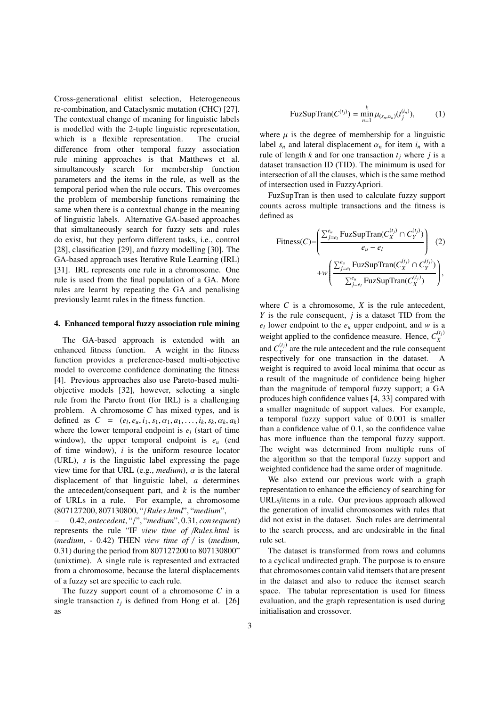Cross-generational elitist selection, Heterogeneous re-combination, and Cataclysmic mutation (CHC) [27]. The contextual change of meaning for linguistic labels is modelled with the 2-tuple linguistic representation, which is a flexible representation. The crucial difference from other temporal fuzzy association rule mining approaches is that Matthews et al. simultaneously search for membership function parameters and the items in the rule, as well as the temporal period when the rule occurs. This overcomes the problem of membership functions remaining the same when there is a contextual change in the meaning of linguistic labels. Alternative GA-based approaches that simultaneously search for fuzzy sets and rules do exist, but they perform different tasks, i.e., control [28], classification [29], and fuzzy modelling [30]. The GA-based approach uses Iterative Rule Learning (IRL) [31]. IRL represents one rule in a chromosome. One rule is used from the final population of a GA. More rules are learnt by repeating the GA and penalising previously learnt rules in the fitness function.

#### 4. Enhanced temporal fuzzy association rule mining

The GA-based approach is extended with an enhanced fitness function. A weight in the fitness function provides a preference-based multi-objective model to overcome confidence dominating the fitness [4]. Previous approaches also use Pareto-based multiobjective models [32], however, selecting a single rule from the Pareto front (for IRL) is a challenging problem. A chromosome *C* has mixed types, and is defined as  $C = (e_1, e_u, i_1, s_1, \alpha_1, a_1, \ldots, i_k, s_k, \alpha_k, a_k)$ where the lower temporal endpoint is *e<sup>l</sup>* (start of time window), the upper temporal endpoint is  $e_u$  (end of time window), *i* is the uniform resource locator (URL), *s* is the linguistic label expressing the page view time for that URL (e.g., *medium*),  $\alpha$  is the lateral displacement of that linguistic label, *a* determines the antecedent/consequent part, and  $k$  is the number of URLs in a rule. For example, a chromosome (807127200, 807130800, "/*Rules*.*html*", "*medium*",

− 0.42, *antecedent*, "/", "*medium*", 0.31, *consequent*) represents the rule "IF *view time of* /*Rules.html* is (*medium*, - 0.42) THEN *view time of* / is (*medium*, 0.31) during the period from 807127200 to 807130800" (unixtime). A single rule is represented and extracted from a chromosome, because the lateral displacements of a fuzzy set are specific to each rule.

The fuzzy support count of a chromosome *C* in a single transaction  $t_j$  is defined from Hong et al. [26] as

FuzSupTran(
$$
C^{(t_j)}
$$
) =  $\min_{n=1}^{k} \mu_{(s_n,\alpha_n)}(t_j^{(i_n)})$ , (1)

where  $\mu$  is the degree of membership for a linguistic label  $s_n$  and lateral displacement  $\alpha_n$  for item  $i_n$  with a rule of length *k* and for one transaction  $t_i$  where *j* is a dataset transaction ID (TID). The minimum is used for intersection of all the clauses, which is the same method of intersection used in FuzzyApriori.

FuzSupTran is then used to calculate fuzzy support counts across multiple transactions and the fitness is defined as

$$
\text{Fitness}(C) = \left( \frac{\sum_{j=e_l}^{e_u} \text{FuzSupTran}(C_X^{(t_j)} \cap C_Y^{(t_j)})}{e_u - e_l} \right) \tag{2}
$$
\n
$$
+ w \left( \frac{\sum_{j=e_l}^{e_u} \text{FuzSupTran}(C_X^{(t_j)} \cap C_Y^{(t_j)})}{\sum_{j=e_l}^{e_u} \text{FuzSupTran}(C_X^{(t_j)})} \right),
$$

where  $C$  is a chromosome,  $X$  is the rule antecedent, *Y* is the rule consequent, *j* is a dataset TID from the  $e_l$  lower endpoint to the  $e_u$  upper endpoint, and *w* is a weight applied to the confidence measure. Hence,  $C_X^{(t_j)}$ *X* and  $C_Y^{(t_j)}$  $Y<sub>Y</sub><sup>(*i*)</sup>$  are the rule antecedent and the rule consequent respectively for one transaction in the dataset. A weight is required to avoid local minima that occur as a result of the magnitude of confidence being higher than the magnitude of temporal fuzzy support; a GA produces high confidence values [4, 33] compared with a smaller magnitude of support values. For example, a temporal fuzzy support value of 0.001 is smaller than a confidence value of 0.1, so the confidence value has more influence than the temporal fuzzy support. The weight was determined from multiple runs of the algorithm so that the temporal fuzzy support and weighted confidence had the same order of magnitude.

We also extend our previous work with a graph representation to enhance the efficiency of searching for URLs/items in a rule. Our previous approach allowed the generation of invalid chromosomes with rules that did not exist in the dataset. Such rules are detrimental to the search process, and are undesirable in the final rule set.

The dataset is transformed from rows and columns to a cyclical undirected graph. The purpose is to ensure that chromosomes contain valid itemsets that are present in the dataset and also to reduce the itemset search space. The tabular representation is used for fitness evaluation, and the graph representation is used during initialisation and crossover.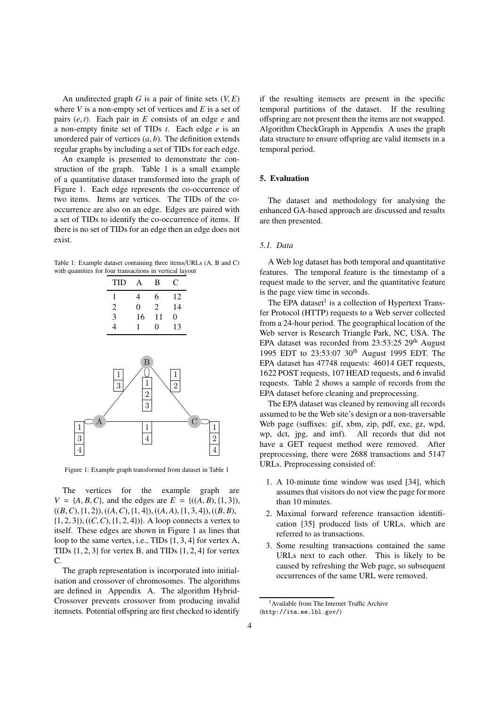An undirected graph *G* is a pair of finite sets  $(V, E)$ where *V* is a non-empty set of vertices and *E* is a set of pairs (*e*, *t*). Each pair in *E* consists of an edge *e* and a non-empty finite set of TIDs *t*. Each edge *e* is an unordered pair of vertices (*a*, *b*). The definition extends regular graphs by including a set of TIDs for each edge.

An example is presented to demonstrate the construction of the graph. Table 1 is a small example of a quantitative dataset transformed into the graph of Figure 1. Each edge represents the co-occurrence of two items. Items are vertices. The TIDs of the cooccurrence are also on an edge. Edges are paired with a set of TIDs to identify the co-occurrence of items. If there is no set of TIDs for an edge then an edge does not exist.

Table 1: Example dataset containing three items/URLs (A, B and C) with quantities for four transactions in vertical layout

| TID | A  | B              | C  |
|-----|----|----------------|----|
|     | 4  | 6              | 12 |
| 2   | 0  | $\mathfrak{D}$ | 14 |
| 3   | 16 | 11             | 0  |
| 4   | ı  | $\Omega$       | 13 |
|     |    |                |    |



Figure 1: Example graph transformed from dataset in Table 1

The vertices for the example graph are  $V = \{A, B, C\}$ , and the edges are  $E = \{((A, B), \{1, 3\})\}$ ,  $((B, C), \{1, 2\}), ((A, C), \{1, 4\}), ((A, A), \{1, 3, 4\}), ((B, B),$ {1, 2, 3}), ((*C*,*C*), {1, 2, 4})}. A loop connects a vertex to itself. These edges are shown in Figure 1 as lines that loop to the same vertex, i.e., TIDs {1, 3, 4} for vertex A, TIDs  $\{1, 2, 3\}$  for vertex B, and TIDs  $\{1, 2, 4\}$  for vertex C.

The graph representation is incorporated into initialisation and crossover of chromosomes. The algorithms are defined in Appendix A. The algorithm Hybrid-Crossover prevents crossover from producing invalid itemsets. Potential offspring are first checked to identify

if the resulting itemsets are present in the specific temporal partitions of the dataset. If the resulting offspring are not present then the items are not swapped. Algorithm CheckGraph in Appendix A uses the graph data structure to ensure offspring are valid itemsets in a temporal period.

## 5. Evaluation

The dataset and methodology for analysing the enhanced GA-based approach are discussed and results are then presented.

## *5.1. Data*

A Web log dataset has both temporal and quantitative features. The temporal feature is the timestamp of a request made to the server, and the quantitative feature is the page view time in seconds.

The EPA dataset<sup>1</sup> is a collection of Hypertext Transfer Protocol (HTTP) requests to a Web server collected from a 24-hour period. The geographical location of the Web server is Research Triangle Park, NC, USA. The EPA dataset was recorded from  $23:53:25$   $29<sup>th</sup>$  August 1995 EDT to 23:53:07 30th August 1995 EDT. The EPA dataset has 47748 requests: 46014 GET requests, 1622 POST requests, 107 HEAD requests, and 6 invalid requests. Table 2 shows a sample of records from the EPA dataset before cleaning and preprocessing.

The EPA dataset was cleaned by removing all records assumed to be the Web site's design or a non-traversable Web page (suffixes: gif, xbm, zip, pdf, exe, gz, wpd, wp, dct, jpg, and imf). All records that did not have a GET request method were removed. After preprocessing, there were 2688 transactions and 5147 URLs. Preprocessing consisted of:

- 1. A 10-minute time window was used [34], which assumes that visitors do not view the page for more than 10 minutes.
- 2. Maximal forward reference transaction identification [35] produced lists of URLs, which are referred to as transactions.
- 3. Some resulting transactions contained the same URLs next to each other. This is likely to be caused by refreshing the Web page, so subsequent occurrences of the same URL were removed.

<sup>&</sup>lt;sup>1</sup> Available from The Internet Traffic Archive (http://ita.ee.lbl.gov/)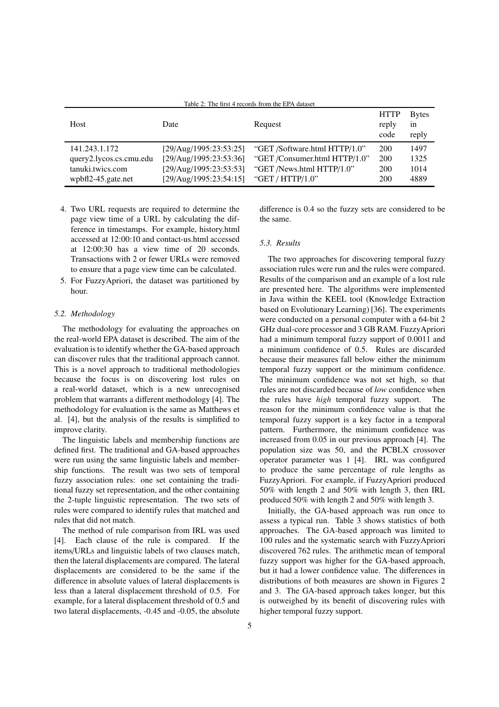| Table 2: The first 4 records from the EPA dataset |                        |                               |                              |                             |  |  |
|---------------------------------------------------|------------------------|-------------------------------|------------------------------|-----------------------------|--|--|
| Host                                              | Date                   | Request                       | <b>HTTP</b><br>reply<br>code | <b>Bytes</b><br>in<br>reply |  |  |
| 141.243.1.172                                     | [29/Aug/1995:23:53:25] | "GET /Software.html HTTP/1.0" | 200                          | 1497                        |  |  |
| query2.lycos.cs.cmu.edu                           | [29/Aug/1995:23:53:36] | "GET /Consumer.html HTTP/1.0" | 200                          | 1325                        |  |  |
| tanuki.twics.com                                  | [29/Aug/1995:23:53:53] | "GET /News.html HTTP/1.0"     | 200                          | 1014                        |  |  |
| wpbfl2-45.gate.net                                | [29/Aug/1995:23:54:15] | "GET / $HTTP/1.0"$            | 200                          | 4889                        |  |  |

- 4. Two URL requests are required to determine the page view time of a URL by calculating the difference in timestamps. For example, history.html accessed at 12:00:10 and contact-us.html accessed at 12:00:30 has a view time of 20 seconds. Transactions with 2 or fewer URLs were removed to ensure that a page view time can be calculated.
- 5. For FuzzyApriori, the dataset was partitioned by hour.

#### *5.2. Methodology*

The methodology for evaluating the approaches on the real-world EPA dataset is described. The aim of the evaluation is to identify whether the GA-based approach can discover rules that the traditional approach cannot. This is a novel approach to traditional methodologies because the focus is on discovering lost rules on a real-world dataset, which is a new unrecognised problem that warrants a different methodology [4]. The methodology for evaluation is the same as Matthews et al. [4], but the analysis of the results is simplified to improve clarity.

The linguistic labels and membership functions are defined first. The traditional and GA-based approaches were run using the same linguistic labels and membership functions. The result was two sets of temporal fuzzy association rules: one set containing the traditional fuzzy set representation, and the other containing the 2-tuple linguistic representation. The two sets of rules were compared to identify rules that matched and rules that did not match.

The method of rule comparison from IRL was used [4]. Each clause of the rule is compared. If the items/URLs and linguistic labels of two clauses match, then the lateral displacements are compared. The lateral displacements are considered to be the same if the difference in absolute values of lateral displacements is less than a lateral displacement threshold of 0.5. For example, for a lateral displacement threshold of 0.5 and two lateral displacements, -0.45 and -0.05, the absolute difference is 0.4 so the fuzzy sets are considered to be the same.

# *5.3. Results*

The two approaches for discovering temporal fuzzy association rules were run and the rules were compared. Results of the comparison and an example of a lost rule are presented here. The algorithms were implemented in Java within the KEEL tool (Knowledge Extraction based on Evolutionary Learning) [36]. The experiments were conducted on a personal computer with a 64-bit 2 GHz dual-core processor and 3 GB RAM. FuzzyApriori had a minimum temporal fuzzy support of 0.0011 and a minimum confidence of 0.5. Rules are discarded because their measures fall below either the minimum temporal fuzzy support or the minimum confidence. The minimum confidence was not set high, so that rules are not discarded because of *low* confidence when the rules have *high* temporal fuzzy support. The reason for the minimum confidence value is that the temporal fuzzy support is a key factor in a temporal pattern. Furthermore, the minimum confidence was increased from 0.05 in our previous approach [4]. The population size was 50, and the PCBLX crossover operator parameter was 1 [4]. IRL was configured to produce the same percentage of rule lengths as FuzzyApriori. For example, if FuzzyApriori produced 50% with length 2 and 50% with length 3, then IRL produced 50% with length 2 and 50% with length 3.

Initially, the GA-based approach was run once to assess a typical run. Table 3 shows statistics of both approaches. The GA-based approach was limited to 100 rules and the systematic search with FuzzyApriori discovered 762 rules. The arithmetic mean of temporal fuzzy support was higher for the GA-based approach, but it had a lower confidence value. The differences in distributions of both measures are shown in Figures 2 and 3. The GA-based approach takes longer, but this is outweighed by its benefit of discovering rules with higher temporal fuzzy support.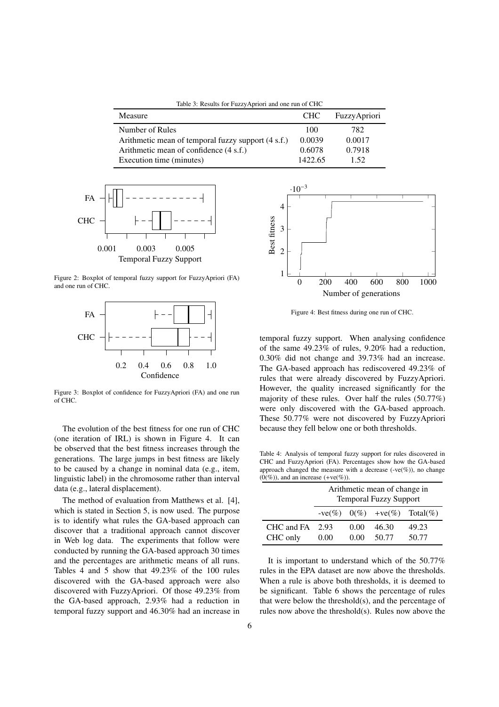Table 3: Results for FuzzyApriori and one run of CHC

| <b>Measure</b>                                     | <b>CHC</b> | FuzzyApriori |
|----------------------------------------------------|------------|--------------|
| Number of Rules                                    | 100        | 782.         |
| Arithmetic mean of temporal fuzzy support (4 s.f.) | 0.0039     | 0.0017       |
| Arithmetic mean of confidence (4 s.f.)             | 0.6078     | 0.7918       |
| Execution time (minutes)                           | 1422.65    | 1.52         |



Figure 2: Boxplot of temporal fuzzy support for FuzzyApriori (FA) and one run of CHC.



Figure 3: Boxplot of confidence for FuzzyApriori (FA) and one run of CHC.

The evolution of the best fitness for one run of CHC (one iteration of IRL) is shown in Figure 4. It can be observed that the best fitness increases through the generations. The large jumps in best fitness are likely to be caused by a change in nominal data (e.g., item, linguistic label) in the chromosome rather than interval data (e.g., lateral displacement).

The method of evaluation from Matthews et al. [4], which is stated in Section 5, is now used. The purpose is to identify what rules the GA-based approach can discover that a traditional approach cannot discover in Web log data. The experiments that follow were conducted by running the GA-based approach 30 times and the percentages are arithmetic means of all runs. Tables 4 and 5 show that 49.23% of the 100 rules discovered with the GA-based approach were also discovered with FuzzyApriori. Of those 49.23% from the GA-based approach, 2.93% had a reduction in temporal fuzzy support and 46.30% had an increase in



Figure 4: Best fitness during one run of CHC.

temporal fuzzy support. When analysing confidence of the same 49.23% of rules, 9.20% had a reduction, 0.30% did not change and 39.73% had an increase. The GA-based approach has rediscovered 49.23% of rules that were already discovered by FuzzyApriori. However, the quality increased significantly for the majority of these rules. Over half the rules (50.77%) were only discovered with the GA-based approach. These 50.77% were not discovered by FuzzyApriori because they fell below one or both thresholds.

Table 4: Analysis of temporal fuzzy support for rules discovered in CHC and FuzzyApriori (FA). Percentages show how the GA-based approach changed the measure with a decrease  $(-ve(\%))$ , no change  $(0, \%)$ , and an increase  $(+ve(\%))$ .

|                        | Arithmetic mean of change in<br><b>Temporal Fuzzy Support</b> |              |                |                                      |
|------------------------|---------------------------------------------------------------|--------------|----------------|--------------------------------------|
|                        |                                                               |              |                | $-ve(\%)$ $0(\%)$ $+ve(\%)$ Total(%) |
| CHC and FA<br>CHC only | 2.93<br>0.00                                                  | 0.00<br>0.00 | 46.30<br>50.77 | 49.23<br>50.77                       |

It is important to understand which of the 50.77% rules in the EPA dataset are now above the thresholds. When a rule is above both thresholds, it is deemed to be significant. Table 6 shows the percentage of rules that were below the threshold(s), and the percentage of rules now above the threshold(s). Rules now above the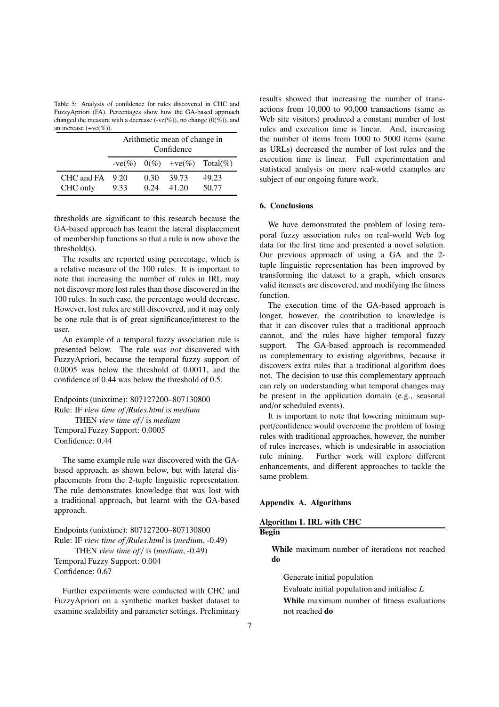Table 5: Analysis of confidence for rules discovered in CHC and FuzzyApriori (FA). Percentages show how the GA-based approach changed the measure with a decrease (-ve(%)), no change (0(%)), and an increase  $(+ve(\%))$ .

|                                 | Arithmetic mean of change in<br>Confidence |               |                |                                      |
|---------------------------------|--------------------------------------------|---------------|----------------|--------------------------------------|
|                                 |                                            |               |                | $-ve(\%)$ $0(\%)$ $+ve(\%)$ Total(%) |
| $CHC$ and $FA$ 9.20<br>CHC only | 9.33                                       | 0.30<br>(124) | 39.73<br>41.20 | 49.23<br>50.77                       |

thresholds are significant to this research because the GA-based approach has learnt the lateral displacement of membership functions so that a rule is now above the threshold(s).

The results are reported using percentage, which is a relative measure of the 100 rules. It is important to note that increasing the number of rules in IRL may not discover more lost rules than those discovered in the 100 rules. In such case, the percentage would decrease. However, lost rules are still discovered, and it may only be one rule that is of great significance/interest to the user.

An example of a temporal fuzzy association rule is presented below. The rule *was not* discovered with FuzzyApriori, because the temporal fuzzy support of 0.0005 was below the threshold of 0.0011, and the confidence of 0.44 was below the threshold of 0.5.

Endpoints (unixtime): 807127200–807130800 Rule: IF *view time of* /*Rules.html* is *medium* THEN view time of / is medium Temporal Fuzzy Support: 0.0005 Confidence: 0.44

The same example rule *was* discovered with the GAbased approach, as shown below, but with lateral displacements from the 2-tuple linguistic representation. The rule demonstrates knowledge that was lost with a traditional approach, but learnt with the GA-based approach.

Endpoints (unixtime): 807127200–807130800 Rule: IF *view time of* /*Rules.html* is (*medium*, -0.49) THEN *view time of* / is (*medium*, -0.49) Temporal Fuzzy Support: 0.004 Confidence: 0.67

Further experiments were conducted with CHC and FuzzyApriori on a synthetic market basket dataset to examine scalability and parameter settings. Preliminary results showed that increasing the number of transactions from 10,000 to 90,000 transactions (same as Web site visitors) produced a constant number of lost rules and execution time is linear. And, increasing the number of items from 1000 to 5000 items (same as URLs) decreased the number of lost rules and the execution time is linear. Full experimentation and statistical analysis on more real-world examples are subject of our ongoing future work.

## 6. Conclusions

We have demonstrated the problem of losing temporal fuzzy association rules on real-world Web log data for the first time and presented a novel solution. Our previous approach of using a GA and the 2 tuple linguistic representation has been improved by transforming the dataset to a graph, which ensures valid itemsets are discovered, and modifying the fitness function.

The execution time of the GA-based approach is longer, however, the contribution to knowledge is that it can discover rules that a traditional approach cannot, and the rules have higher temporal fuzzy support. The GA-based approach is recommended as complementary to existing algorithms, because it discovers extra rules that a traditional algorithm does not. The decision to use this complementary approach can rely on understanding what temporal changes may be present in the application domain (e.g., seasonal and/or scheduled events).

It is important to note that lowering minimum support/confidence would overcome the problem of losing rules with traditional approaches, however, the number of rules increases, which is undesirable in association rule mining. Further work will explore different enhancements, and different approaches to tackle the same problem.

#### Appendix A. Algorithms

#### Algorithm 1. IRL with CHC

Begin

While maximum number of iterations not reached do

Generate initial population

Evaluate initial population and initialise *L*

While maximum number of fitness evaluations not reached do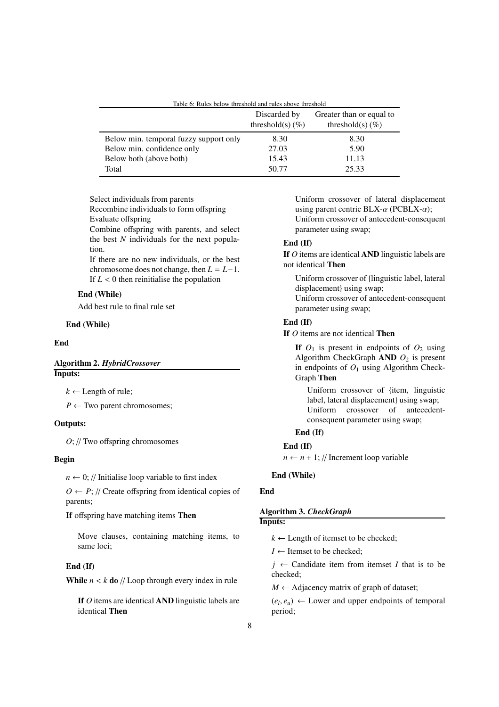| Table 0. Kuies below ulleslioid allu tules above ulleslioid | Discarded by<br>threshold(s) $(\% )$ | Greater than or equal to<br>threshold(s) $(\% )$ |
|-------------------------------------------------------------|--------------------------------------|--------------------------------------------------|
| Below min. temporal fuzzy support only                      | 8.30                                 | 8.30                                             |
| Below min. confidence only                                  | 27.03                                | 5.90                                             |
| Below both (above both)                                     | 15.43                                | 11.13                                            |
| Total                                                       | 50.77                                | 25.33                                            |

Table 6: Rules below threshold and rules above threshold

Select individuals from parents

Recombine individuals to form offspring

Evaluate offspring

Combine offspring with parents, and select the best *N* individuals for the next population.

If there are no new individuals, or the best chromosome does not change, then  $L = L-1$ . If  $L < 0$  then reinitialise the population

# End (While)

Add best rule to final rule set

#### End (While)

#### End

# Algorithm 2. *HybridCrossover* Inputs:

 $k \leftarrow$  Length of rule;

 $P \leftarrow$  Two parent chromosomes;

#### Outputs:

*O*; // Two offspring chromosomes

#### Begin

 $n \leftarrow 0$ ; // Initialise loop variable to first index

 $O \leftarrow P$ ; // Create offspring from identical copies of parents;

If offspring have matching items Then

Move clauses, containing matching items, to same loci;

# End (If)

While  $n < k$  do // Loop through every index in rule

If *O* items are identical AND linguistic labels are identical Then

Uniform crossover of lateral displacement using parent centric BLX- $\alpha$  (PCBLX- $\alpha$ ); Uniform crossover of antecedent-consequent parameter using swap;

# End (If)

If *O* items are identical AND linguistic labels are not identical Then

Uniform crossover of {linguistic label, lateral displacement} using swap; Uniform crossover of antecedent-consequent parameter using swap;

# End (If)

If *O* items are not identical Then

If  $O_1$  is present in endpoints of  $O_2$  using Algorithm CheckGraph **AND**  $O_2$  is present in endpoints of  $O_1$  using Algorithm Check-Graph Then

Uniform crossover of {item, linguistic label, lateral displacement} using swap; Uniform crossover of antecedentconsequent parameter using swap;

# End (If)

# End (If)

 $n \leftarrow n + 1$ ; // Increment loop variable

#### End (While)

## **End**

# Algorithm 3. *CheckGraph*

# Inputs:

 $k \leftarrow$  Length of itemset to be checked;

 $I \leftarrow$  Itemset to be checked;

 $j \leftarrow$  Candidate item from itemset *I* that is to be checked;

 $M \leftarrow$  Adjacency matrix of graph of dataset;

 $(e_l, e_u) \leftarrow$  Lower and upper endpoints of temporal period;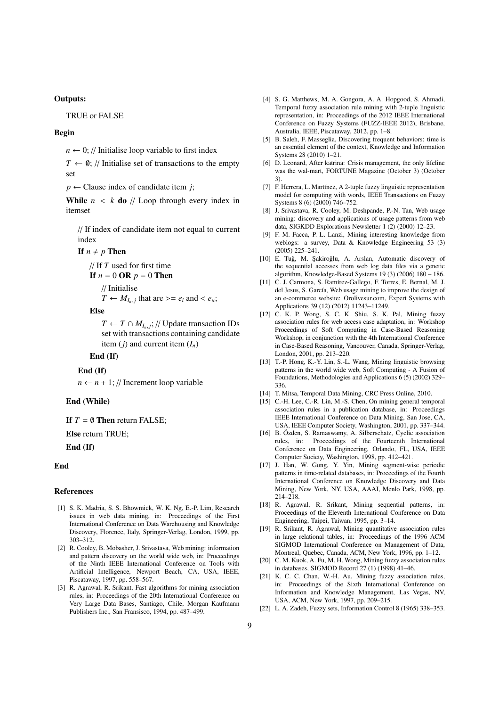# Outputs:

TRUE or FALSE

# Begin

 $n \leftarrow 0$ ; // Initialise loop variable to first index

 $T \leftarrow \emptyset$ ; // Initialise set of transactions to the empty set

 $p \leftarrow$  Clause index of candidate item *j*;

**While**  $n \leq k$  **do** // Loop through every index in itemset

// If index of candidate item not equal to current index

#### If  $n \neq p$  Then

// If *T* used for first time If  $n = 0$  OR  $p = 0$  Then // Initialise

$$
T \leftarrow M_{I_n,j} \text{ that are } >= e_l \text{ and } < e_u;
$$

Else

 $T \leftarrow T \cap M_{I_n,j}$ ; // Update transaction IDs set with transactions containing candidate item ( $j$ ) and current item  $(I_n)$ 

# End (If)

#### End (If)

 $n \leftarrow n + 1$ ; // Increment loop variable

# End (While)

If  $T = \emptyset$  Then return FALSE;

# Else return TRUE;

End (If)

#### End

#### References

- [1] S. K. Madria, S. S. Bhowmick, W. K. Ng, E.-P. Lim, Research issues in web data mining, in: Proceedings of the First International Conference on Data Warehousing and Knowledge Discovery, Florence, Italy, Springer-Verlag, London, 1999, pp. 303–312.
- [2] R. Cooley, B. Mobasher, J. Srivastava, Web mining: information and pattern discovery on the world wide web, in: Proceedings of the Ninth IEEE International Conference on Tools with Artificial Intelligence, Newport Beach, CA, USA, IEEE, Piscataway, 1997, pp. 558–567.
- [3] R. Agrawal, R. Srikant, Fast algorithms for mining association rules, in: Proceedings of the 20th International Conference on Very Large Data Bases, Santiago, Chile, Morgan Kaufmann Publishers Inc., San Fransisco, 1994, pp. 487–499.
- [4] S. G. Matthews, M. A. Gongora, A. A. Hopgood, S. Ahmadi, Temporal fuzzy association rule mining with 2-tuple linguistic representation, in: Proceedings of the 2012 IEEE International Conference on Fuzzy Systems (FUZZ-IEEE 2012), Brisbane, Australia, IEEE, Piscataway, 2012, pp. 1–8.
- [5] B. Saleh, F. Masseglia, Discovering frequent behaviors: time is an essential element of the context, Knowledge and Information Systems 28 (2010) 1–21.
- [6] D. Leonard, After katrina: Crisis management, the only lifeline was the wal-mart, FORTUNE Magazine (October 3) (October 3).
- [7] F. Herrera, L. Martínez, A 2-tuple fuzzy linguistic representation model for computing with words, IEEE Transactions on Fuzzy Systems 8 (6) (2000) 746–752.
- [8] J. Srivastava, R. Cooley, M. Deshpande, P.-N. Tan, Web usage mining: discovery and applications of usage patterns from web data, SIGKDD Explorations Newsletter 1 (2) (2000) 12–23.
- [9] F. M. Facca, P. L. Lanzi, Mining interesting knowledge from weblogs: a survey, Data & Knowledge Engineering 53 (3) (2005) 225–241.
- [10] E. Tuğ, M. Şakiroğlu, A. Arslan, Automatic discovery of the sequential accesses from web log data files via a genetic algorithm, Knowledge-Based Systems 19 (3) (2006) 180 – 186.
- [11] C. J. Carmona, S. Ramírez-Gallego, F. Torres, E. Bernal, M. J. del Jesus, S. García, Web usage mining to improve the design of an e-commerce website: Orolivesur.com, Expert Systems with Applications 39 (12) (2012) 11243–11249.
- [12] C. K. P. Wong, S. C. K. Shiu, S. K. Pal, Mining fuzzy association rules for web access case adaptation, in: Workshop Proceedings of Soft Computing in Case-Based Reasoning Workshop, in conjunction with the 4th International Conference in Case-Based Reasoning, Vancouver, Canada, Springer-Verlag, London, 2001, pp. 213–220.
- [13] T.-P. Hong, K.-Y. Lin, S.-L. Wang, Mining linguistic browsing patterns in the world wide web, Soft Computing - A Fusion of Foundations, Methodologies and Applications  $6(5)$  (2002) 329– 336.
- [14] T. Mitsa, Temporal Data Mining, CRC Press Online, 2010.
- [15] C.-H. Lee, C.-R. Lin, M.-S. Chen, On mining general temporal association rules in a publication database, in: Proceedings IEEE International Conference on Data Mining, San Jose, CA, USA, IEEE Computer Society, Washington, 2001, pp. 337–344.
- [16] B. Özden, S. Ramaswamy, A. Silberschatz, Cyclic association rules, in: Proceedings of the Fourteenth International Conference on Data Engineering, Orlando, FL, USA, IEEE Computer Society, Washington, 1998, pp. 412–421.
- [17] J. Han, W. Gong, Y. Yin, Mining segment-wise periodic patterns in time-related databases, in: Proceedings of the Fourth International Conference on Knowledge Discovery and Data Mining, New York, NY, USA, AAAI, Menlo Park, 1998, pp. 214–218.
- [18] R. Agrawal, R. Srikant, Mining sequential patterns, in: Proceedings of the Eleventh International Conference on Data Engineering, Taipei, Taiwan, 1995, pp. 3–14.
- [19] R. Srikant, R. Agrawal, Mining quantitative association rules in large relational tables, in: Proceedings of the 1996 ACM SIGMOD International Conference on Management of Data, Montreal, Quebec, Canada, ACM, New York, 1996, pp. 1–12.
- [20] C. M. Kuok, A. Fu, M. H. Wong, Mining fuzzy association rules in databases, SIGMOD Record 27 (1) (1998) 41–46.
- [21] K. C. C. Chan, W.-H. Au, Mining fuzzy association rules, in: Proceedings of the Sixth International Conference on Information and Knowledge Management, Las Vegas, NV, USA, ACM, New York, 1997, pp. 209–215.
- [22] L. A. Zadeh, Fuzzy sets, Information Control 8 (1965) 338–353.